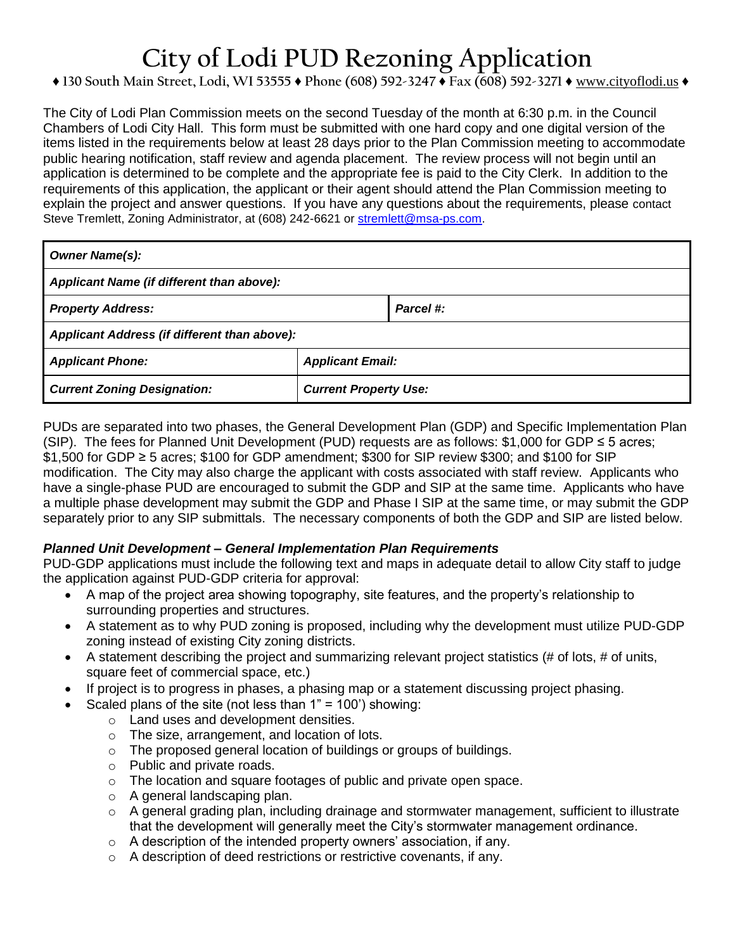# **City of Lodi PUD Rezoning Application**

# **♦ 130 South Main Street, Lodi, WI 53555 ♦ Phone (608) 592-3247 ♦ Fax (608) 592-3271 ♦** www.cityoflodi.us **♦**

The City of Lodi Plan Commission meets on the second Tuesday of the month at 6:30 p.m. in the Council Chambers of Lodi City Hall. This form must be submitted with one hard copy and one digital version of the items listed in the requirements below at least 28 days prior to the Plan Commission meeting to accommodate public hearing notification, staff review and agenda placement. The review process will not begin until an application is determined to be complete and the appropriate fee is paid to the City Clerk. In addition to the requirements of this application, the applicant or their agent should attend the Plan Commission meeting to explain the project and answer questions. If you have any questions about the requirements, please contact Steve Tremlett, Zoning Administrator, at (608) 242-6621 or [stremlett@msa-ps.com.](mailto:stremlett@msa-ps.com)

| <b>Owner Name(s):</b>                        |                              |           |  |  |
|----------------------------------------------|------------------------------|-----------|--|--|
| Applicant Name (if different than above):    |                              |           |  |  |
| <b>Property Address:</b>                     |                              | Parcel #: |  |  |
| Applicant Address (if different than above): |                              |           |  |  |
| <b>Applicant Phone:</b>                      | <b>Applicant Email:</b>      |           |  |  |
| <b>Current Zoning Designation:</b>           | <b>Current Property Use:</b> |           |  |  |

PUDs are separated into two phases, the General Development Plan (GDP) and Specific Implementation Plan (SIP). The fees for Planned Unit Development (PUD) requests are as follows: \$1,000 for GDP  $\leq$  5 acres; \$1,500 for GDP ≥ 5 acres; \$100 for GDP amendment; \$300 for SIP review \$300; and \$100 for SIP modification. The City may also charge the applicant with costs associated with staff review. Applicants who have a single-phase PUD are encouraged to submit the GDP and SIP at the same time. Applicants who have a multiple phase development may submit the GDP and Phase I SIP at the same time, or may submit the GDP separately prior to any SIP submittals. The necessary components of both the GDP and SIP are listed below.

## *Planned Unit Development – General Implementation Plan Requirements*

PUD-GDP applications must include the following text and maps in adequate detail to allow City staff to judge the application against PUD-GDP criteria for approval:

- A map of the project area showing topography, site features, and the property's relationship to surrounding properties and structures.
- A statement as to why PUD zoning is proposed, including why the development must utilize PUD-GDP zoning instead of existing City zoning districts.
- $\bullet$  A statement describing the project and summarizing relevant project statistics (# of lots, # of units, square feet of commercial space, etc.)
- If project is to progress in phases, a phasing map or a statement discussing project phasing.
- Scaled plans of the site (not less than 1" = 100') showing:
	- o Land uses and development densities.
	- o The size, arrangement, and location of lots.
	- o The proposed general location of buildings or groups of buildings.
	- o Public and private roads.
	- o The location and square footages of public and private open space.
	- o A general landscaping plan.
	- $\circ$  A general grading plan, including drainage and stormwater management, sufficient to illustrate that the development will generally meet the City's stormwater management ordinance.
	- $\circ$  A description of the intended property owners' association, if any.
	- o A description of deed restrictions or restrictive covenants, if any.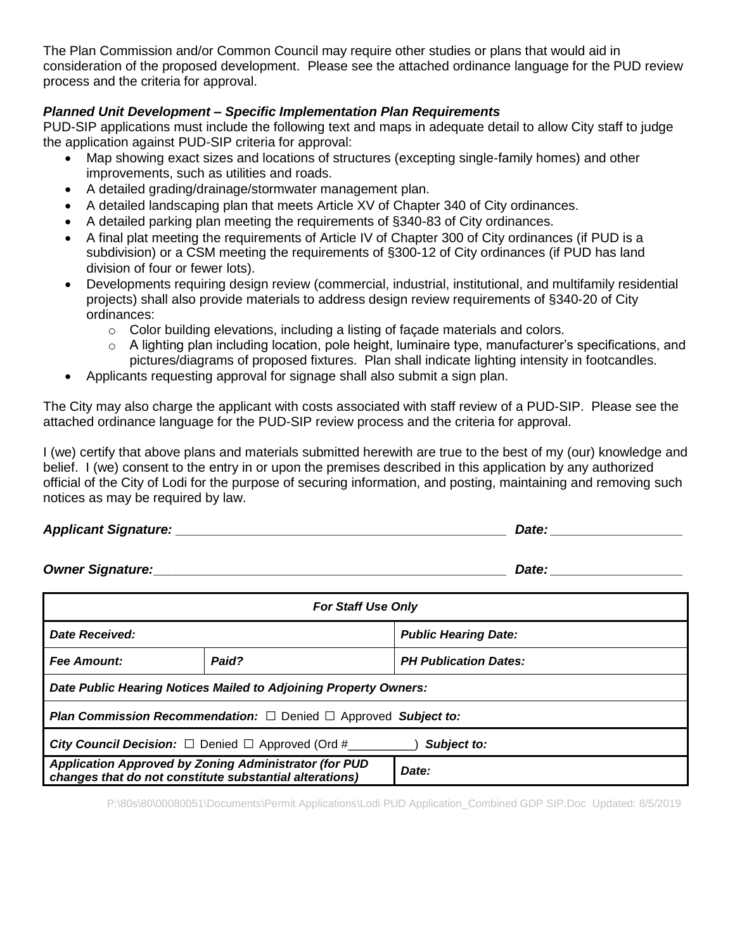The Plan Commission and/or Common Council may require other studies or plans that would aid in consideration of the proposed development. Please see the attached ordinance language for the PUD review process and the criteria for approval.

## *Planned Unit Development – Specific Implementation Plan Requirements*

PUD-SIP applications must include the following text and maps in adequate detail to allow City staff to judge the application against PUD-SIP criteria for approval:

- Map showing exact sizes and locations of structures (excepting single-family homes) and other improvements, such as utilities and roads.
- A detailed grading/drainage/stormwater management plan.
- A detailed landscaping plan that meets Article XV of Chapter 340 of City ordinances.
- A detailed parking plan meeting the requirements of §340-83 of City ordinances.
- A final plat meeting the requirements of Article IV of Chapter 300 of City ordinances (if PUD is a subdivision) or a CSM meeting the requirements of §300-12 of City ordinances (if PUD has land division of four or fewer lots).
- Developments requiring design review (commercial, industrial, institutional, and multifamily residential projects) shall also provide materials to address design review requirements of §340-20 of City ordinances:
	- $\circ$  Color building elevations, including a listing of facade materials and colors.
	- $\circ$  A lighting plan including location, pole height, luminaire type, manufacturer's specifications, and pictures/diagrams of proposed fixtures. Plan shall indicate lighting intensity in footcandles.
- Applicants requesting approval for signage shall also submit a sign plan.

The City may also charge the applicant with costs associated with staff review of a PUD-SIP. Please see the attached ordinance language for the PUD-SIP review process and the criteria for approval.

I (we) certify that above plans and materials submitted herewith are true to the best of my (our) knowledge and belief. I (we) consent to the entry in or upon the premises described in this application by any authorized official of the City of Lodi for the purpose of securing information, and posting, maintaining and removing such notices as may be required by law.

## *Applicant Signature: \_\_\_\_\_\_\_\_\_\_\_\_\_\_\_\_\_\_\_\_\_\_\_\_\_\_\_\_\_\_\_\_\_\_\_\_\_\_\_\_\_\_\_\_\_ Date: \_\_\_\_\_\_\_\_\_\_\_\_\_\_\_\_\_\_*

**Owner Signature:** *Date:* **Date:** *Date: Date:* **<b>***Date: Date: Date: Date: Date: Date: Date: Dete: Dete: Dete: Dete: Dete: Dete: Dete: Dete: Dete: Dete* 

| <b>For Staff Use Only</b>                                                                                        |       |                              |
|------------------------------------------------------------------------------------------------------------------|-------|------------------------------|
| Date Received:                                                                                                   |       | <b>Public Hearing Date:</b>  |
| <b>Fee Amount:</b>                                                                                               | Paid? | <b>PH Publication Dates:</b> |
| Date Public Hearing Notices Mailed to Adjoining Property Owners:                                                 |       |                              |
| <b>Plan Commission Recommendation:</b> $\Box$ Denied $\Box$ Approved Subject to:                                 |       |                              |
| <b>City Council Decision:</b> $\Box$ Denied $\Box$ Approved (Ord #<br>Subject to:                                |       |                              |
| Application Approved by Zoning Administrator (for PUD<br>changes that do not constitute substantial alterations) |       | Date:                        |

P:\80s\80\00080051\Documents\Permit Applications\Lodi PUD Application\_Combined GDP SIP.Doc Updated: 8/5/2019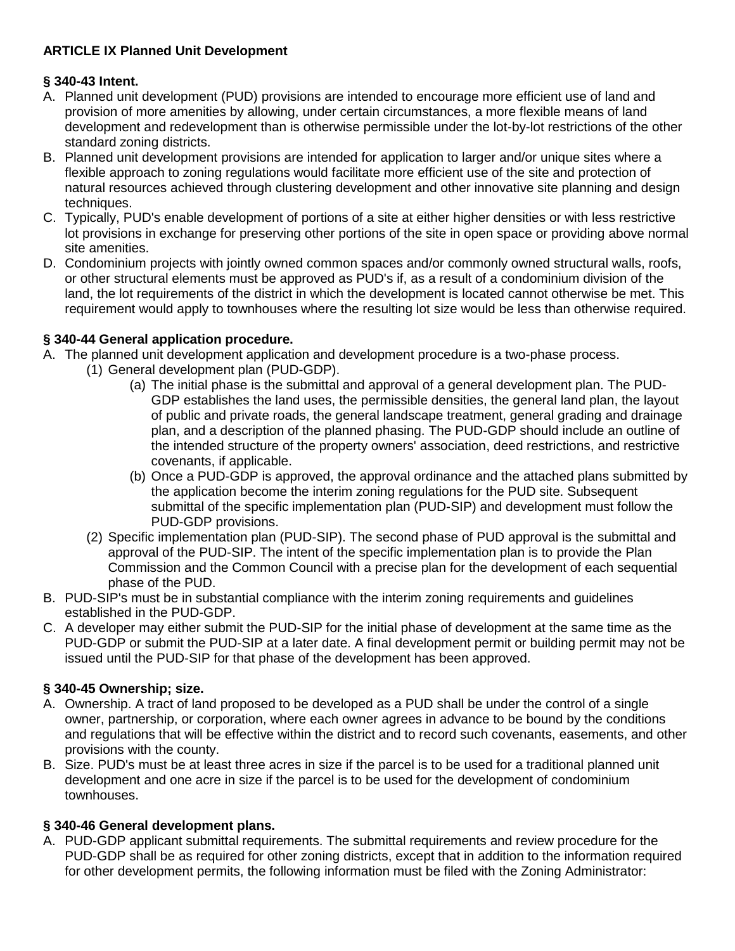# **ARTICLE IX Planned Unit Development**

# **§ 340-43 Intent.**

- A. Planned unit development (PUD) provisions are intended to encourage more efficient use of land and provision of more amenities by allowing, under certain circumstances, a more flexible means of land development and redevelopment than is otherwise permissible under the lot-by-lot restrictions of the other standard zoning districts.
- B. Planned unit development provisions are intended for application to larger and/or unique sites where a flexible approach to zoning regulations would facilitate more efficient use of the site and protection of natural resources achieved through clustering development and other innovative site planning and design techniques.
- C. Typically, PUD's enable development of portions of a site at either higher densities or with less restrictive lot provisions in exchange for preserving other portions of the site in open space or providing above normal site amenities.
- D. Condominium projects with jointly owned common spaces and/or commonly owned structural walls, roofs, or other structural elements must be approved as PUD's if, as a result of a condominium division of the land, the lot requirements of the district in which the development is located cannot otherwise be met. This requirement would apply to townhouses where the resulting lot size would be less than otherwise required.

# **§ 340-44 General application procedure.**

- A. The planned unit development application and development procedure is a two-phase process.
	- (1) General development plan (PUD-GDP).
		- (a) The initial phase is the submittal and approval of a general development plan. The PUD-GDP establishes the land uses, the permissible densities, the general land plan, the layout of public and private roads, the general landscape treatment, general grading and drainage plan, and a description of the planned phasing. The PUD-GDP should include an outline of the intended structure of the property owners' association, deed restrictions, and restrictive covenants, if applicable.
		- (b) Once a PUD-GDP is approved, the approval ordinance and the attached plans submitted by the application become the interim zoning regulations for the PUD site. Subsequent submittal of the specific implementation plan (PUD-SIP) and development must follow the PUD-GDP provisions.
	- (2) Specific implementation plan (PUD-SIP). The second phase of PUD approval is the submittal and approval of the PUD-SIP. The intent of the specific implementation plan is to provide the Plan Commission and the Common Council with a precise plan for the development of each sequential phase of the PUD.
- B. PUD-SIP's must be in substantial compliance with the interim zoning requirements and guidelines established in the PUD-GDP.
- C. A developer may either submit the PUD-SIP for the initial phase of development at the same time as the PUD-GDP or submit the PUD-SIP at a later date. A final development permit or building permit may not be issued until the PUD-SIP for that phase of the development has been approved.

# **§ 340-45 Ownership; size.**

- A. Ownership. A tract of land proposed to be developed as a PUD shall be under the control of a single owner, partnership, or corporation, where each owner agrees in advance to be bound by the conditions and regulations that will be effective within the district and to record such covenants, easements, and other provisions with the county.
- B. Size. PUD's must be at least three acres in size if the parcel is to be used for a traditional planned unit development and one acre in size if the parcel is to be used for the development of condominium townhouses.

# **§ 340-46 General development plans.**

A. PUD-GDP applicant submittal requirements. The submittal requirements and review procedure for the PUD-GDP shall be as required for other zoning districts, except that in addition to the information required for other development permits, the following information must be filed with the Zoning Administrator: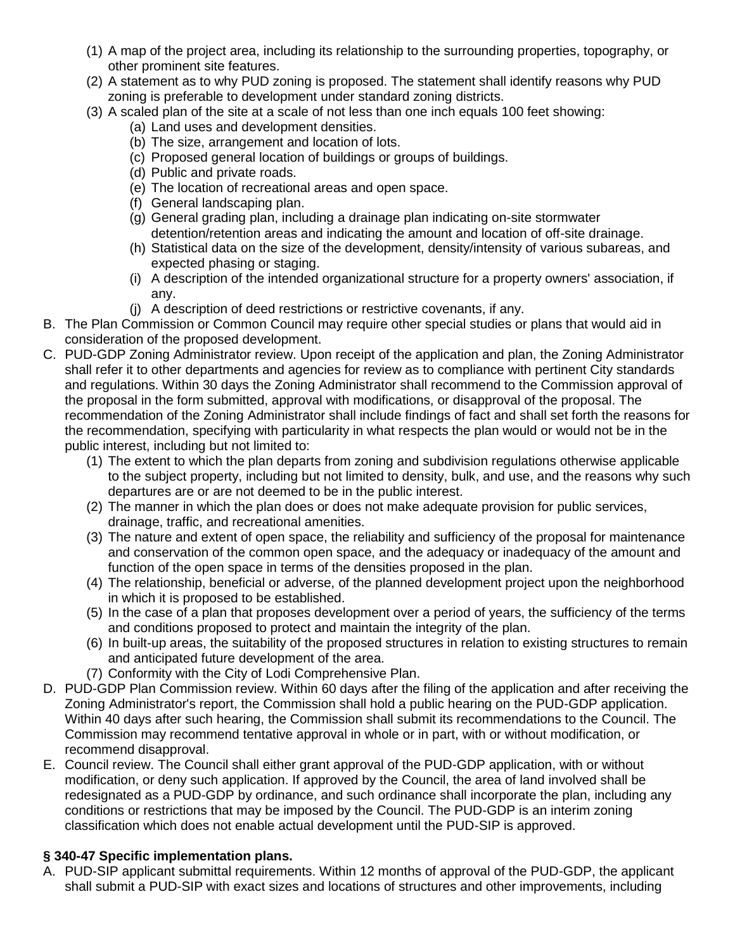- (1) A map of the project area, including its relationship to the surrounding properties, topography, or other prominent site features.
- (2) A statement as to why PUD zoning is proposed. The statement shall identify reasons why PUD zoning is preferable to development under standard zoning districts.
- (3) A scaled plan of the site at a scale of not less than one inch equals 100 feet showing:
	- (a) Land uses and development densities.
	- (b) The size, arrangement and location of lots.
	- (c) Proposed general location of buildings or groups of buildings.
	- (d) Public and private roads.
	- (e) The location of recreational areas and open space.
	- (f) General landscaping plan.
	- (g) General grading plan, including a drainage plan indicating on-site stormwater detention/retention areas and indicating the amount and location of off-site drainage.
	- (h) Statistical data on the size of the development, density/intensity of various subareas, and expected phasing or staging.
	- (i) A description of the intended organizational structure for a property owners' association, if any.
	- (j) A description of deed restrictions or restrictive covenants, if any.
- B. The Plan Commission or Common Council may require other special studies or plans that would aid in consideration of the proposed development.
- C. PUD-GDP Zoning Administrator review. Upon receipt of the application and plan, the Zoning Administrator shall refer it to other departments and agencies for review as to compliance with pertinent City standards and regulations. Within 30 days the Zoning Administrator shall recommend to the Commission approval of the proposal in the form submitted, approval with modifications, or disapproval of the proposal. The recommendation of the Zoning Administrator shall include findings of fact and shall set forth the reasons for the recommendation, specifying with particularity in what respects the plan would or would not be in the public interest, including but not limited to:
	- (1) The extent to which the plan departs from zoning and subdivision regulations otherwise applicable to the subject property, including but not limited to density, bulk, and use, and the reasons why such departures are or are not deemed to be in the public interest.
	- (2) The manner in which the plan does or does not make adequate provision for public services, drainage, traffic, and recreational amenities.
	- (3) The nature and extent of open space, the reliability and sufficiency of the proposal for maintenance and conservation of the common open space, and the adequacy or inadequacy of the amount and function of the open space in terms of the densities proposed in the plan.
	- (4) The relationship, beneficial or adverse, of the planned development project upon the neighborhood in which it is proposed to be established.
	- (5) In the case of a plan that proposes development over a period of years, the sufficiency of the terms and conditions proposed to protect and maintain the integrity of the plan.
	- (6) In built-up areas, the suitability of the proposed structures in relation to existing structures to remain and anticipated future development of the area.
	- (7) Conformity with the City of Lodi Comprehensive Plan.
- D. PUD-GDP Plan Commission review. Within 60 days after the filing of the application and after receiving the Zoning Administrator's report, the Commission shall hold a public hearing on the PUD-GDP application. Within 40 days after such hearing, the Commission shall submit its recommendations to the Council. The Commission may recommend tentative approval in whole or in part, with or without modification, or recommend disapproval.
- E. Council review. The Council shall either grant approval of the PUD-GDP application, with or without modification, or deny such application. If approved by the Council, the area of land involved shall be redesignated as a PUD-GDP by ordinance, and such ordinance shall incorporate the plan, including any conditions or restrictions that may be imposed by the Council. The PUD-GDP is an interim zoning classification which does not enable actual development until the PUD-SIP is approved.

# **§ 340-47 Specific implementation plans.**

A. PUD-SIP applicant submittal requirements. Within 12 months of approval of the PUD-GDP, the applicant shall submit a PUD-SIP with exact sizes and locations of structures and other improvements, including